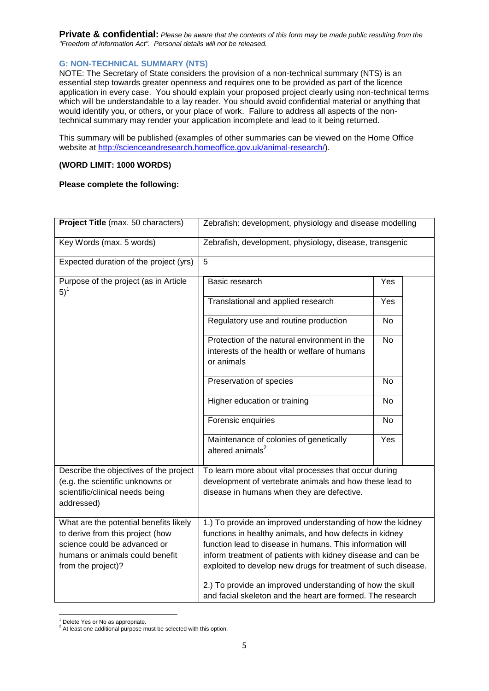**Private & confidential:** *Please be aware that the contents of this form may be made public resulting from the "Freedom of information Act". Personal details will not be released.*

## **G: NON-TECHNICAL SUMMARY (NTS)**

NOTE: The Secretary of State considers the provision of a non-technical summary (NTS) is an essential step towards greater openness and requires one to be provided as part of the licence application in every case. You should explain your proposed project clearly using non-technical terms which will be understandable to a lay reader. You should avoid confidential material or anything that would identify you, or others, or your place of work. Failure to address all aspects of the nontechnical summary may render your application incomplete and lead to it being returned.

This summary will be published (examples of other summaries can be viewed on the Home Office website at [http://scienceandresearch.homeoffice.gov.uk/animal-research/\)](http://scienceandresearch.homeoffice.gov.uk/animal-research/).

## **(WORD LIMIT: 1000 WORDS)**

## **Please complete the following:**

| Project Title (max. 50 characters)                                                | Zebrafish: development, physiology and disease modelling                                                                |           |
|-----------------------------------------------------------------------------------|-------------------------------------------------------------------------------------------------------------------------|-----------|
| Key Words (max. 5 words)                                                          | Zebrafish, development, physiology, disease, transgenic                                                                 |           |
| Expected duration of the project (yrs)                                            | 5                                                                                                                       |           |
| Purpose of the project (as in Article<br>$5)^{1}$                                 | Basic research                                                                                                          | Yes       |
|                                                                                   | Translational and applied research                                                                                      | Yes       |
|                                                                                   | Regulatory use and routine production                                                                                   | <b>No</b> |
|                                                                                   | Protection of the natural environment in the<br>interests of the health or welfare of humans<br>or animals              | <b>No</b> |
|                                                                                   | Preservation of species                                                                                                 | <b>No</b> |
|                                                                                   | Higher education or training                                                                                            | <b>No</b> |
|                                                                                   | Forensic enquiries                                                                                                      | <b>No</b> |
|                                                                                   | Maintenance of colonies of genetically<br>altered animals <sup>2</sup>                                                  | Yes       |
| Describe the objectives of the project                                            | To learn more about vital processes that occur during                                                                   |           |
| (e.g. the scientific unknowns or<br>scientific/clinical needs being<br>addressed) | development of vertebrate animals and how these lead to<br>disease in humans when they are defective.                   |           |
| What are the potential benefits likely                                            | 1.) To provide an improved understanding of how the kidney                                                              |           |
| to derive from this project (how<br>science could be advanced or                  | functions in healthy animals, and how defects in kidney<br>function lead to disease in humans. This information will    |           |
| humans or animals could benefit                                                   | inform treatment of patients with kidney disease and can be                                                             |           |
| from the project)?                                                                | exploited to develop new drugs for treatment of such disease.                                                           |           |
|                                                                                   | 2.) To provide an improved understanding of how the skull<br>and facial skeleton and the heart are formed. The research |           |

 $\overline{a}$ <sup>1</sup> Delete Yes or No as appropriate.

 $2$  At least one additional purpose must be selected with this option.